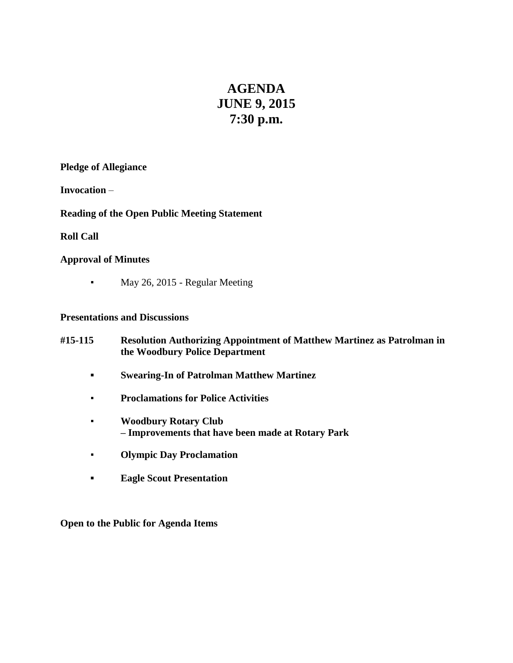# **AGENDA JUNE 9, 2015 7:30 p.m.**

# **Pledge of Allegiance**

**Invocation** –

# **Reading of the Open Public Meeting Statement**

# **Roll Call**

# **Approval of Minutes**

• May 26, 2015 - Regular Meeting

# **Presentations and Discussions**

- **#15-115 Resolution Authorizing Appointment of Matthew Martinez as Patrolman in the Woodbury Police Department**
	- **▪ Swearing-In of Patrolman Matthew Martinez**
	- **Proclamations for Police Activities**
	- **Woodbury Rotary Club – Improvements that have been made at Rotary Park**
	- **Olympic Day Proclamation**
	- **▪ Eagle Scout Presentation**

**Open to the Public for Agenda Items**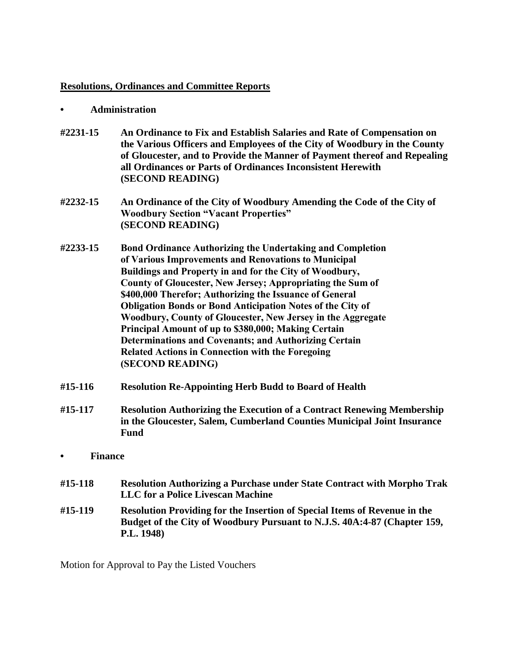## **Resolutions, Ordinances and Committee Reports**

#### **• Administration**

- **#2231-15 An Ordinance to Fix and Establish Salaries and Rate of Compensation on the Various Officers and Employees of the City of Woodbury in the County of Gloucester, and to Provide the Manner of Payment thereof and Repealing all Ordinances or Parts of Ordinances Inconsistent Herewith (SECOND READING)**
- **#2232-15 An Ordinance of the City of Woodbury Amending the Code of the City of Woodbury Section "Vacant Properties" (SECOND READING)**
- **#2233-15 Bond Ordinance Authorizing the Undertaking and Completion of Various Improvements and Renovations to Municipal Buildings and Property in and for the City of Woodbury, County of Gloucester, New Jersey; Appropriating the Sum of \$400,000 Therefor; Authorizing the Issuance of General Obligation Bonds or Bond Anticipation Notes of the City of Woodbury, County of Gloucester, New Jersey in the Aggregate Principal Amount of up to \$380,000; Making Certain Determinations and Covenants; and Authorizing Certain Related Actions in Connection with the Foregoing (SECOND READING)**
- **#15-116 Resolution Re-Appointing Herb Budd to Board of Health**
- **#15-117 Resolution Authorizing the Execution of a Contract Renewing Membership in the Gloucester, Salem, Cumberland Counties Municipal Joint Insurance Fund**
- **• Finance**
- **#15-118 Resolution Authorizing a Purchase under State Contract with Morpho Trak LLC for a Police Livescan Machine**
- **#15-119 Resolution Providing for the Insertion of Special Items of Revenue in the Budget of the City of Woodbury Pursuant to N.J.S. 40A:4-87 (Chapter 159, P.L. 1948)**

Motion for Approval to Pay the Listed Vouchers